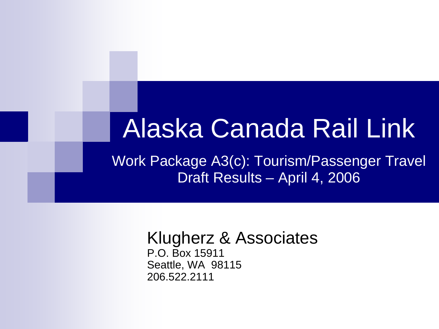### Alaska Canada Rail Link

Work Package A3(c): Tourism/Passenger Travel Draft Results – April 4, 2006

#### Klugherz & Associates P.O. Box 15911

Seattle, WA 98115 206.522.2111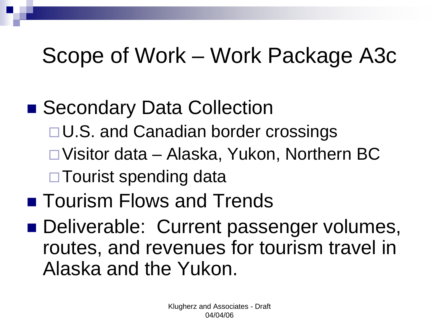### Scope of Work – Work Package A3c

### ■ Secondary Data Collection □ U.S. and Canadian border crossings □ Visitor data – Alaska, Yukon, Northern BC □ Tourist spending data ■ Tourism Flows and Trends Deliverable: Current passenger volumes, routes, and revenues for tourism travel in

Alaska and the Yukon.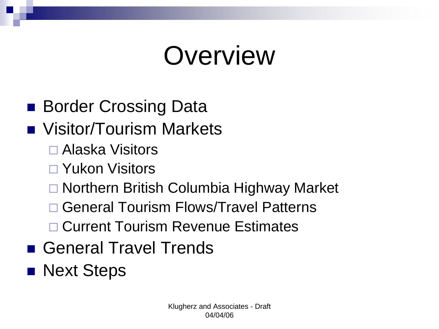# **Overview**

- Border Crossing Data
- **NACCE Visitor/Tourism Markets** 
	- □ Alaska Visitors
	- □ Yukon Visitors
	- □ Northern British Columbia Highway Market
	- □ General Tourism Flows/Travel Patterns
	- □ Current Tourism Revenue Estimates
- General Travel Trends
- **Next Steps**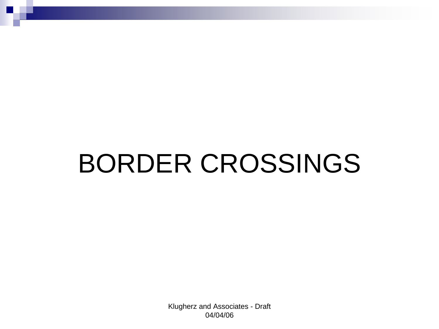# BORDER CROSSINGS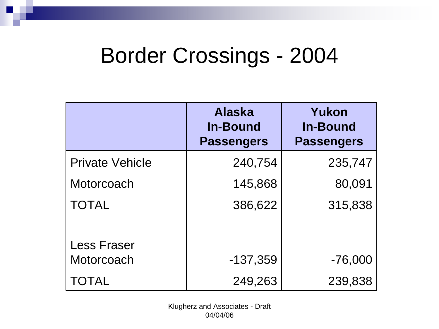### Border Crossings - 2004

|                        | <b>Alaska</b><br><b>In-Bound</b><br><b>Passengers</b> | Yukon<br><b>In-Bound</b><br><b>Passengers</b> |
|------------------------|-------------------------------------------------------|-----------------------------------------------|
| <b>Private Vehicle</b> | 240,754                                               | 235,747                                       |
| Motorcoach             | 145,868                                               | 80,091                                        |
| <b>TOTAL</b>           | 386,622                                               | 315,838                                       |
| <b>Less Fraser</b>     |                                                       |                                               |
| Motorcoach             | $-137,359$                                            | $-76,000$                                     |
| <b>TOTAL</b>           | 249,263                                               | 239,838                                       |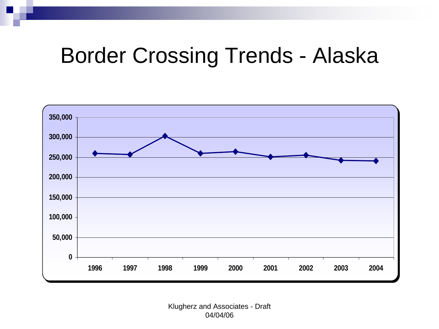### Border Crossing Trends - Alaska

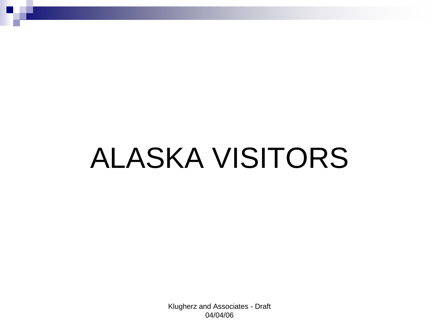# ALASKA VISITORS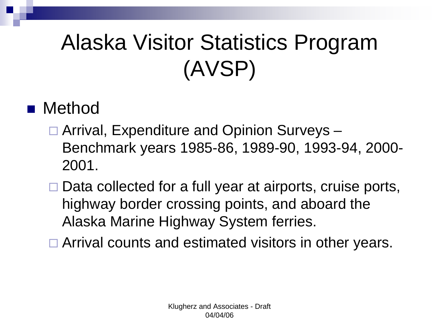## Alaska Visitor Statistics Program (AVSP)

#### **n** Method

- □ Arrival, Expenditure and Opinion Surveys -Benchmark years 1985-86, 1989-90, 1993-94, 2000- 2001.
- □ Data collected for a full year at airports, cruise ports, highway border crossing points, and aboard the Alaska Marine Highway System ferries.
- □ Arrival counts and estimated visitors in other years.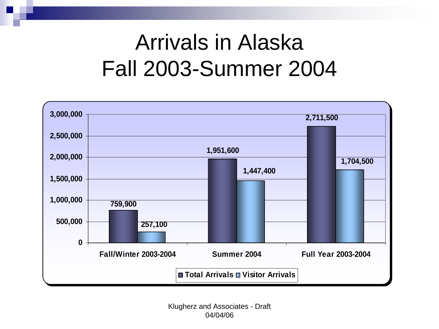### Arrivals in Alaska Fall 2003-Summer 2004

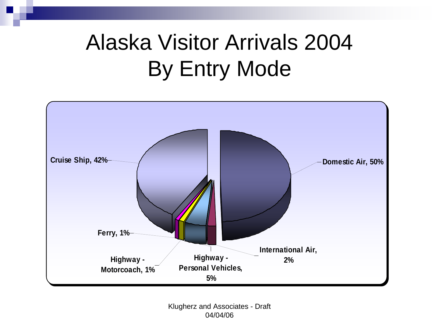### Alaska Visitor Arrivals 2004 By Entry Mode

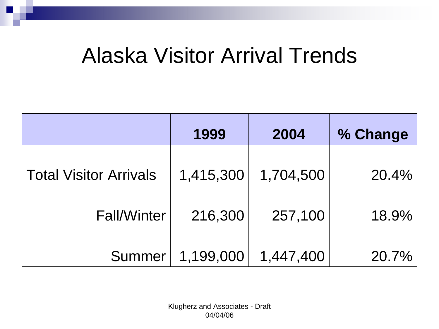### Alaska Visitor Arrival Trends

|                               | 1999      | 2004      | % Change |
|-------------------------------|-----------|-----------|----------|
| <b>Total Visitor Arrivals</b> | 1,415,300 | 1,704,500 | 20.4%    |
| <b>Fall/Winter</b>            | 216,300   | 257,100   | 18.9%    |
| Summer                        | 1,199,000 | 1,447,400 | 20.7%    |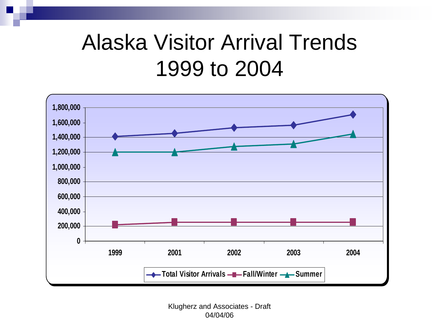### Alaska Visitor Arrival Trends 1999 to 2004

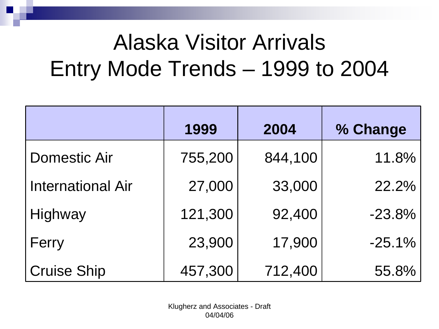### Alaska Visitor Arrivals Entry Mode Trends – 1999 to 2004

|                          | 1999    | 2004    | % Change |
|--------------------------|---------|---------|----------|
| <b>Domestic Air</b>      | 755,200 | 844,100 | 11.8%    |
| <b>International Air</b> | 27,000  | 33,000  | 22.2%    |
| Highway                  | 121,300 | 92,400  | $-23.8%$ |
| Ferry                    | 23,900  | 17,900  | $-25.1%$ |
| <b>Cruise Ship</b>       | 457,300 | 712,400 | 55.8%    |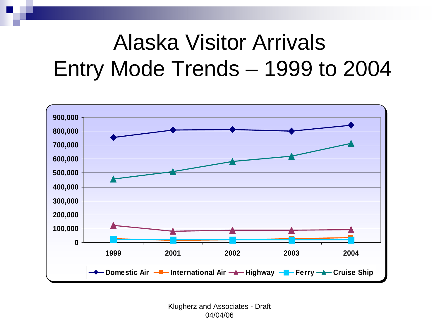### Alaska Visitor Arrivals Entry Mode Trends – 1999 to 2004

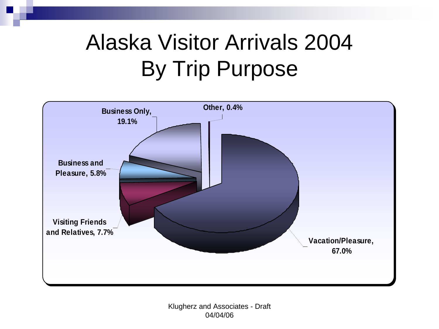### Alaska Visitor Arrivals 2004 By Trip Purpose

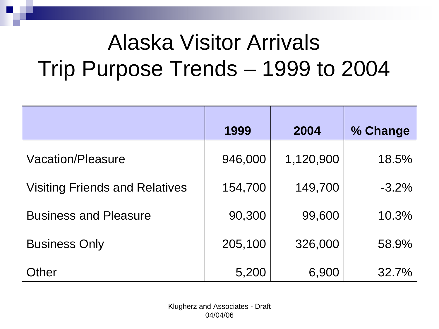### Alaska Visitor Arrivals Trip Purpose Trends – 1999 to 2004

|                                       | 1999    | 2004      | % Change |
|---------------------------------------|---------|-----------|----------|
| Vacation/Pleasure                     | 946,000 | 1,120,900 | 18.5%    |
| <b>Visiting Friends and Relatives</b> | 154,700 | 149,700   | $-3.2%$  |
| <b>Business and Pleasure</b>          | 90,300  | 99,600    | 10.3%    |
| <b>Business Only</b>                  | 205,100 | 326,000   | 58.9%    |
| Other                                 | 5,200   | 6,900     | 32.7%    |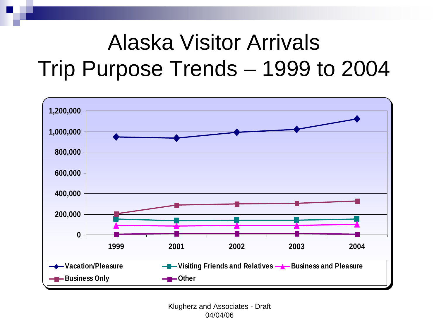### Alaska Visitor Arrivals Trip Purpose Trends – 1999 to 2004

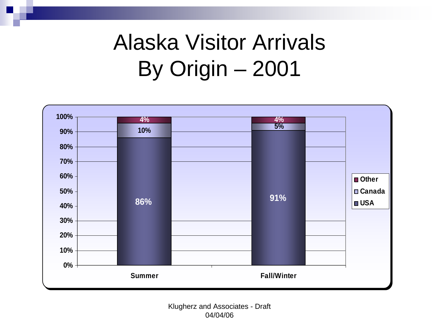### Alaska Visitor Arrivals By Origin – 2001

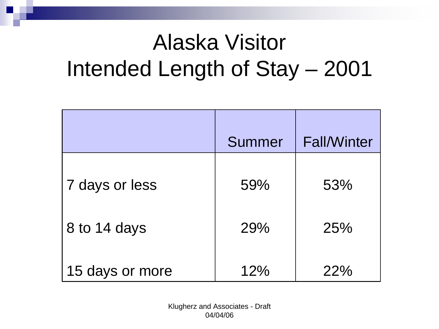### Alaska Visitor Intended Length of Stay – 2001

|                 | Summer | <b>Fall/Winter</b> |
|-----------------|--------|--------------------|
| 7 days or less  | 59%    | 53%                |
| 8 to 14 days    | 29%    | 25%                |
| 15 days or more | 12%    | 22%                |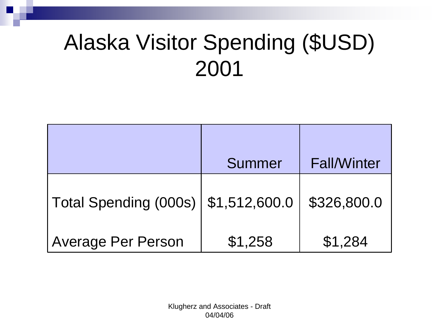### Alaska Visitor Spending (\$USD) 2001

|                           | Summer        | <b>Fall/Winter</b> |
|---------------------------|---------------|--------------------|
| Total Spending (000s)     | \$1,512,600.0 | \$326,800.0        |
| <b>Average Per Person</b> | \$1,258       | \$1,284            |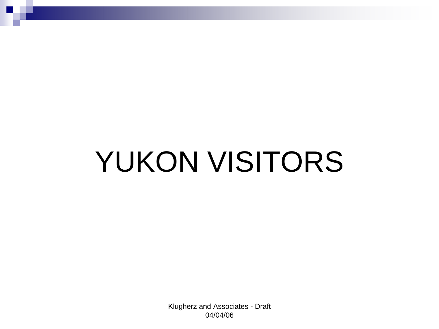# YUKON VISITORS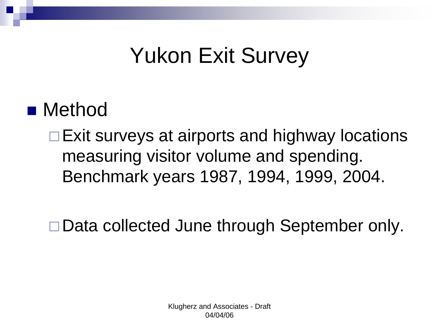### Yukon Exit Survey

#### **Nethod**

□ Exit surveys at airports and highway locations measuring visitor volume and spending. Benchmark years 1987, 1994, 1999, 2004.

□ Data collected June through September only.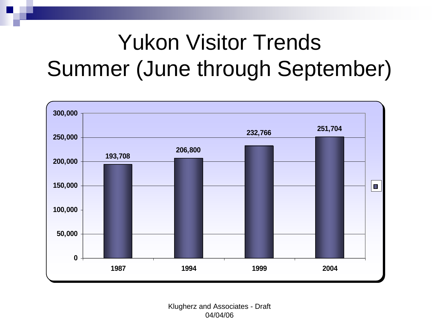### Yukon Visitor Trends Summer (June through September)

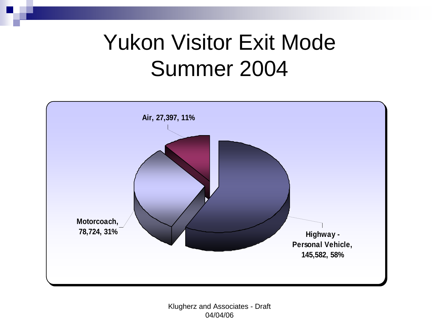### Yukon Visitor Exit Mode Summer 2004

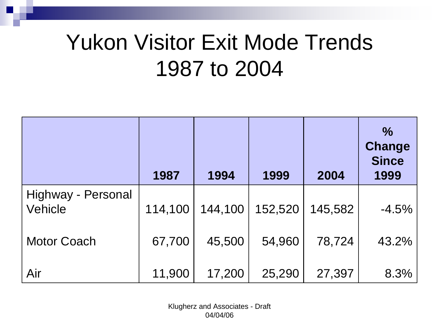### Yukon Visitor Exit Mode Trends 1987 to 2004

|                               | 1987    | 1994    | 1999    | 2004    | $\frac{0}{0}$<br><b>Change</b><br><b>Since</b><br>1999 |
|-------------------------------|---------|---------|---------|---------|--------------------------------------------------------|
| Highway - Personal<br>Vehicle | 114,100 | 144,100 | 152,520 | 145,582 | $-4.5%$                                                |
| <b>Motor Coach</b>            | 67,700  | 45,500  | 54,960  | 78,724  | 43.2%                                                  |
| Air                           | 11,900  | 17,200  | 25,290  | 27,397  | 8.3%                                                   |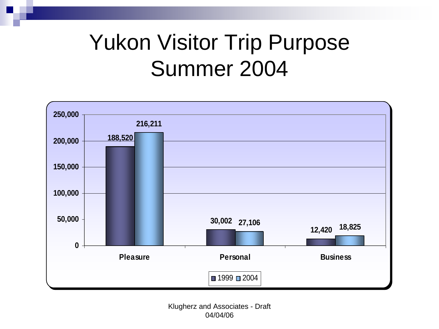### Yukon Visitor Trip Purpose Summer 2004

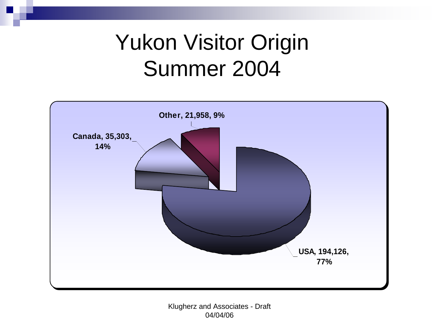### Yukon Visitor Origin Summer 2004

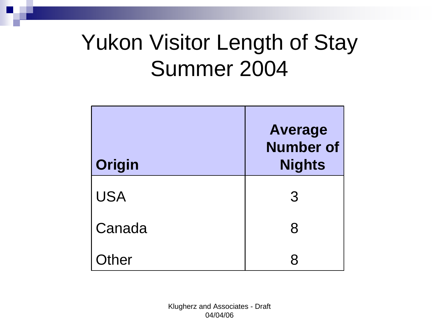### Yukon Visitor Length of Stay Summer 2004

| Origin     | <b>Average</b><br><b>Number of</b><br><b>Nights</b> |
|------------|-----------------------------------------------------|
| <b>USA</b> | 3                                                   |
| Canada     | 8                                                   |
| Other      | R                                                   |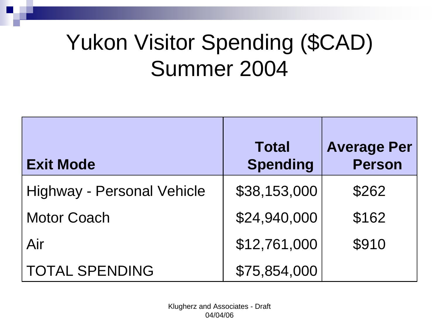### Yukon Visitor Spending (\$CAD) Summer 2004

| <b>Exit Mode</b>                  | <b>Total</b><br><b>Spending</b> | <b>Average Per</b><br><b>Person</b> |
|-----------------------------------|---------------------------------|-------------------------------------|
| <b>Highway - Personal Vehicle</b> | \$38,153,000                    | \$262                               |
| <b>Motor Coach</b>                | \$24,940,000                    | \$162                               |
| Air                               | \$12,761,000                    | \$910                               |
| <b>TOTAL SPENDING</b>             | \$75,854,000                    |                                     |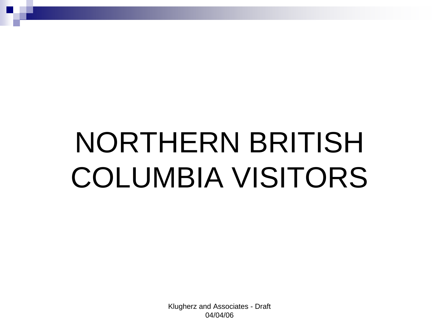# NORTHERN BRITISH COLUMBIA VISITORS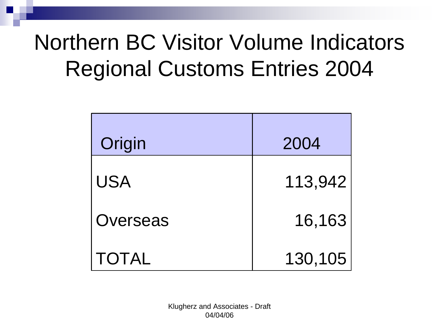### Northern BC Visitor Volume Indicators Regional Customs Entries 2004

| Origin       | 2004    |
|--------------|---------|
| <b>USA</b>   | 113,942 |
| Overseas     | 16,163  |
| <b>TOTAL</b> | 130,105 |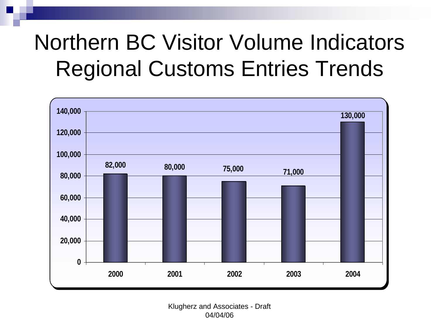### Northern BC Visitor Volume Indicators Regional Customs Entries Trends

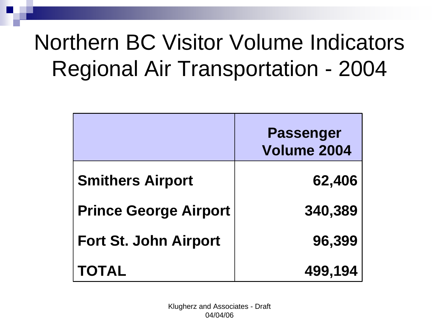### Northern BC Visitor Volume Indicators Regional Air Transportation - 2004

|                              | <b>Passenger</b><br>Volume 2004 |
|------------------------------|---------------------------------|
| <b>Smithers Airport</b>      | 62,406                          |
| <b>Prince George Airport</b> | 340,389                         |
| <b>Fort St. John Airport</b> | 96,399                          |
| <b>TOTAL</b>                 | 499,194                         |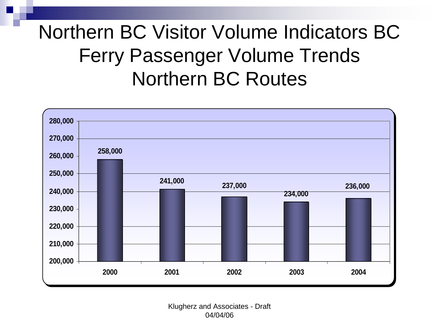#### Northern BC Visitor Volume Indicators BC Ferry Passenger Volume Trends Northern BC Routes

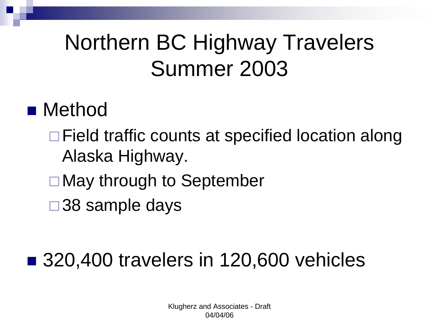### Northern BC Highway Travelers Summer 2003

#### **Nethod**

- □ Field traffic counts at specified location along Alaska Highway.
- □ May through to September
- □ 38 sample days

#### ■ 320,400 travelers in 120,600 vehicles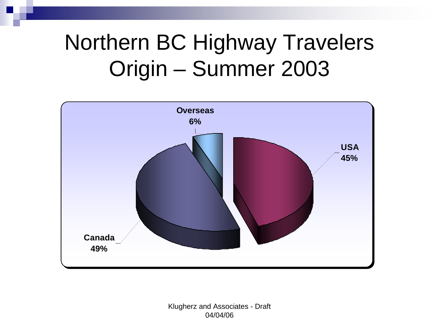### Northern BC Highway Travelers Origin – Summer 2003

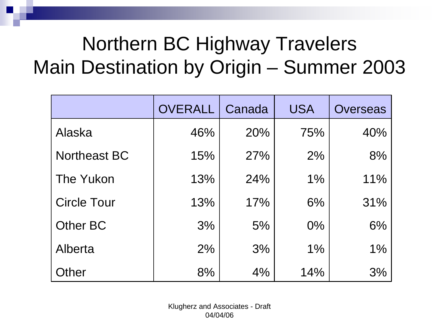### Northern BC Highway Travelers Main Destination by Origin – Summer 2003

|                     | <b>OVERALL</b> | Canada | <b>USA</b> | <b>Overseas</b> |
|---------------------|----------------|--------|------------|-----------------|
| Alaska              | 46%            | 20%    | 75%        | 40%             |
| <b>Northeast BC</b> | 15%            | 27%    | 2%         | 8%              |
| The Yukon           | 13%            | 24%    | $1\%$      | 11%             |
| <b>Circle Tour</b>  | 13%            | 17%    | 6%         | 31%             |
| Other BC            | 3%             | 5%     | $0\%$      | 6%              |
| Alberta             | 2%             | 3%     | $1\%$      | $1\%$           |
| Other               | 8%             | 4%     | 14%        | 3%              |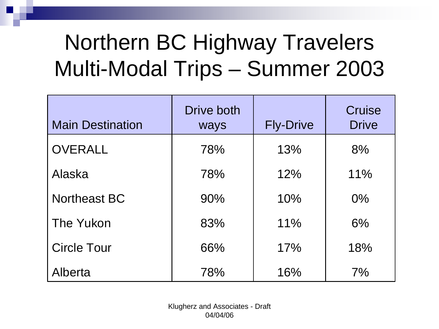### Northern BC Highway Travelers Multi-Modal Trips – Summer 2003

| <b>Main Destination</b> | Drive both<br>ways | <b>Fly-Drive</b> | <b>Cruise</b><br><b>Drive</b> |
|-------------------------|--------------------|------------------|-------------------------------|
| <b>OVERALL</b>          | 78%                | 13%              | 8%                            |
| Alaska                  | 78%                | 12%              | 11%                           |
| <b>Northeast BC</b>     | 90%                | 10%              | $0\%$                         |
| The Yukon               | 83%                | 11%              | 6%                            |
| <b>Circle Tour</b>      | 66%                | 17%              | 18%                           |
| Alberta                 | 78%                | 16%              | 7%                            |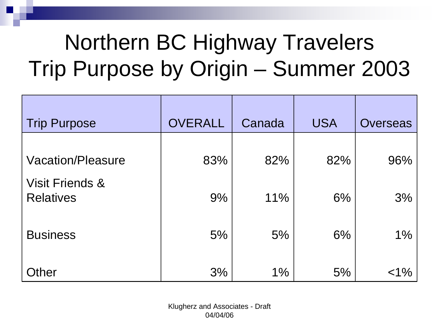### Northern BC Highway Travelers Trip Purpose by Origin – Summer 2003

| <b>Trip Purpose</b>                            | <b>OVERALL</b> | Canada | <b>USA</b> | Overseas |
|------------------------------------------------|----------------|--------|------------|----------|
| <b>Vacation/Pleasure</b>                       | 83%            | 82%    | 82%        | 96%      |
| <b>Visit Friends &amp;</b><br><b>Relatives</b> | 9%             | 11%    | 6%         | 3%       |
| <b>Business</b>                                | 5%             | 5%     | 6%         | $1\%$    |
| Other                                          | 3%             | $1\%$  | 5%         | $< 1\%$  |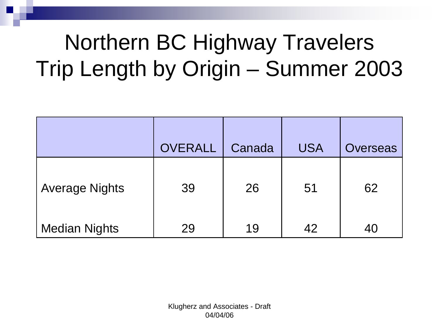### Northern BC Highway Travelers Trip Length by Origin – Summer 2003

|                       | <b>OVERALL</b> | Canada | <b>USA</b> | <b>Overseas</b> |
|-----------------------|----------------|--------|------------|-----------------|
| <b>Average Nights</b> | 39             | 26     | 51         | 62              |
| <b>Median Nights</b>  | 29             | 19     | 42         | 40              |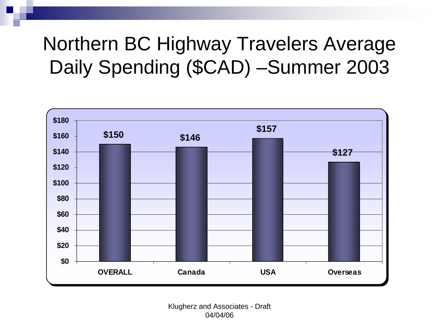#### Northern BC Highway Travelers Average Daily Spending (\$CAD) –Summer 2003

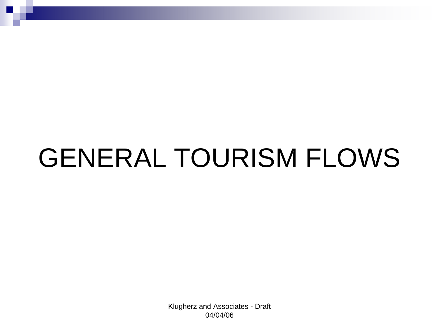# GENERAL TOURISM FLOWS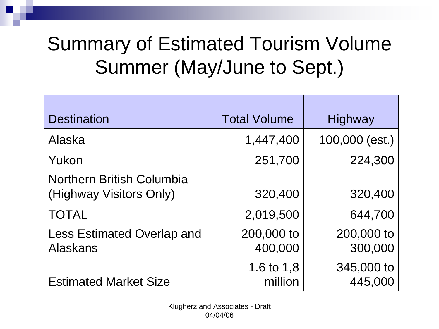### Summary of Estimated Tourism Volume Summer (May/June to Sept.)

| <b>Destination</b>                                          | <b>Total Volume</b>   | Highway               |
|-------------------------------------------------------------|-----------------------|-----------------------|
| Alaska                                                      | 1,447,400             | 100,000 (est.)        |
| Yukon                                                       | 251,700               | 224,300               |
| <b>Northern British Columbia</b><br>(Highway Visitors Only) | 320,400               | 320,400               |
| <b>TOTAL</b>                                                | 2,019,500             | 644,700               |
| <b>Less Estimated Overlap and</b><br><b>Alaskans</b>        | 200,000 to<br>400,000 | 200,000 to<br>300,000 |
| <b>Estimated Market Size</b>                                | 1.6 to 1,8<br>million | 345,000 to<br>445,000 |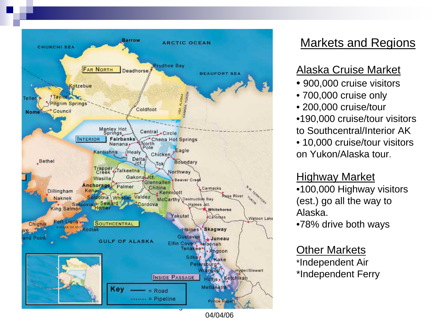

#### Markets and Regions

#### Alaska Cruise Market

- 900,000 cruise visitors
- 700,000 cruise only
- 200,000 cruise/tour
- •190,000 cruise/tour visitors to Southcentral/Interior AK
- 10,000 cruise/tour visitors on Yukon/Alaska tour.

#### Highway Market

•100,000 Highway visitors (est.) go all the way to Alaska.

•78% drive both ways

#### Other Markets

\*Independent Air \*Independent Ferry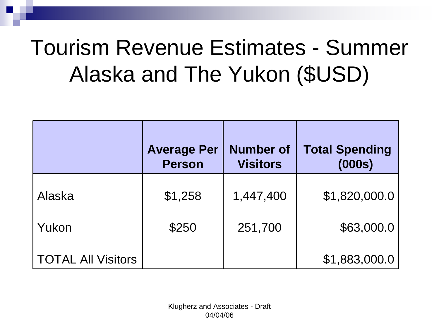### Tourism Revenue Estimates - Summer Alaska and The Yukon (\$USD)

|                           | <b>Average Per</b><br><b>Person</b> | <b>Number of</b><br><b>Visitors</b> | <b>Total Spending</b><br>(000s) |
|---------------------------|-------------------------------------|-------------------------------------|---------------------------------|
| Alaska                    | \$1,258                             | 1,447,400                           | \$1,820,000.0                   |
| Yukon                     | \$250                               | 251,700                             | \$63,000.0                      |
| <b>TOTAL All Visitors</b> |                                     |                                     | \$1,883,000.0                   |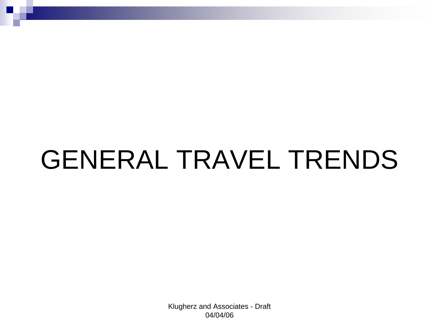# GENERAL TRAVEL TRENDS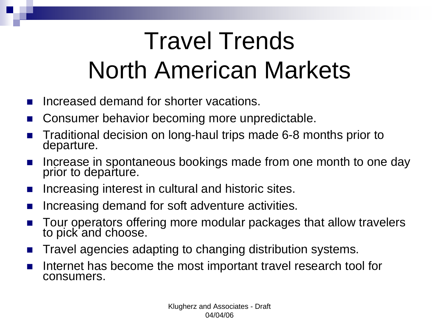# Travel Trends North American Markets

- Increased demand for shorter vacations.
- Consumer behavior becoming more unpredictable.
- Traditional decision on long-haul trips made 6-8 months prior to departure.
- Increase in spontaneous bookings made from one month to one day prior to departure.
- Increasing interest in cultural and historic sites.
- Increasing demand for soft adventure activities.
- Tour operators offering more modular packages that allow travelers to pick and choose.
- **Travel agencies adapting to changing distribution systems.**
- Internet has become the most important travel research tool for consumers.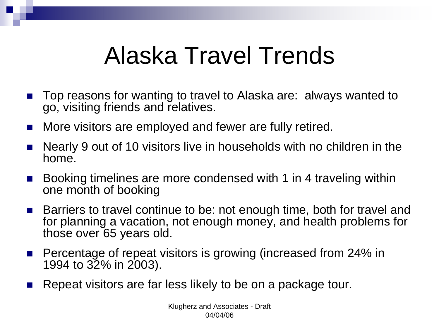### Alaska Travel Trends

- Top reasons for wanting to travel to Alaska are: always wanted to go, visiting friends and relatives.
- **Nore visitors are employed and fewer are fully retired.**
- Nearly 9 out of 10 visitors live in households with no children in the home.
- Booking timelines are more condensed with 1 in 4 traveling within one month of booking
- Barriers to travel continue to be: not enough time, both for travel and for planning a vacation, not enough money, and health problems for those over 65 years old.
- Percentage of repeat visitors is growing (increased from 24% in 1994 to 32% in 2003).
- Repeat visitors are far less likely to be on a package tour.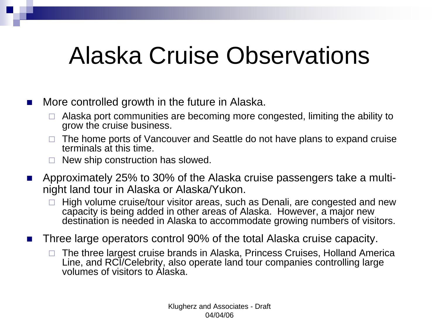### Alaska Cruise Observations

- $\blacksquare$  More controlled growth in the future in Alaska.
	- $\Box$  Alaska port communities are becoming more congested, limiting the ability to grow the cruise business.
	- $\Box$  The home ports of Vancouver and Seattle do not have plans to expand cruise terminals at this time.
	- $\Box$  New ship construction has slowed.
- Approximately 25% to 30% of the Alaska cruise passengers take a multinight land tour in Alaska or Alaska/Yukon.
	- $\Box$  High volume cruise/tour visitor areas, such as Denali, are congested and new capacity is being added in other areas of Alaska. However, a major new destination is needed in Alaska to accommodate growing numbers of visitors.
- Three large operators control 90% of the total Alaska cruise capacity.
	- $\Box$  The three largest cruise brands in Alaska, Princess Cruises, Holland America Line, and RCI/Celebrity, also operate land tour companies controlling large volumes of visitors to Alaska.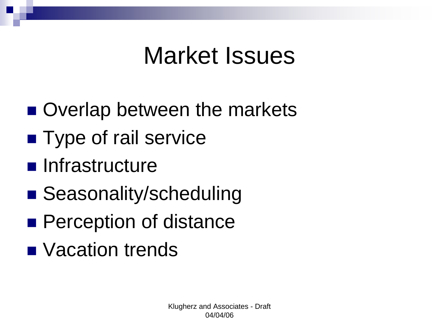### Market Issues

- Overlap between the markets
- **Type of rail service**
- **n** Infrastructure
- Seasonality/scheduling
- **Perception of distance**
- **Nacation trends**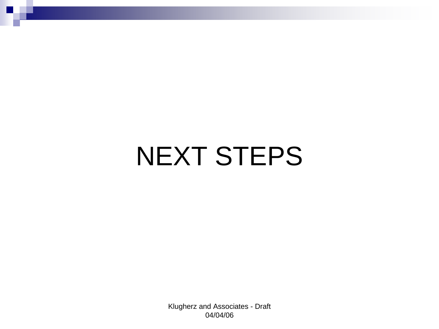# NEXT STEPS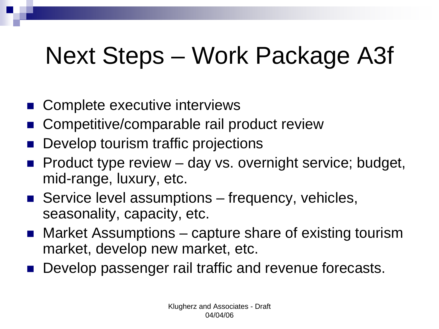## Next Steps – Work Package A3f

- Complete executive interviews
- Competitive/comparable rail product review
- Develop tourism traffic projections
- Product type review day vs. overnight service; budget, mid-range, luxury, etc.
- Service level assumptions frequency, vehicles, seasonality, capacity, etc.
- Market Assumptions capture share of existing tourism market, develop new market, etc.
- Develop passenger rail traffic and revenue forecasts.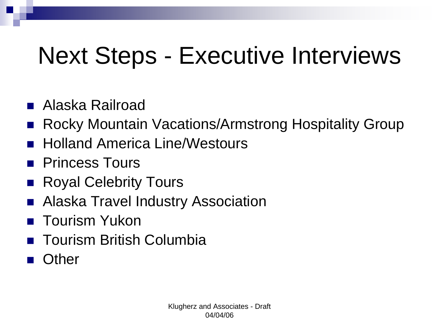# Next Steps - Executive Interviews

- Alaska Railroad
- Rocky Mountain Vacations/Armstrong Hospitality Group
- Holland America Line/Westours
- **Princess Tours**
- Royal Celebrity Tours
- Alaska Travel Industry Association
- Tourism Yukon
- Tourism British Columbia
- **Other**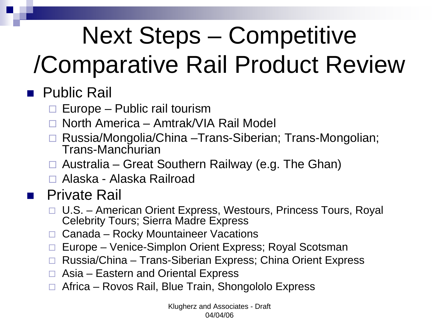# Next Steps – Competitive

# /Comparative Rail Product Review

#### ■ Public Rail

- $\Box$ Europe – Public rail tourism
- □ North America Amtrak/VIA Rail Model
- □ Russia/Mongolia/China –Trans-Siberian; Trans-Mongolian; Trans-Manchurian
- □ Australia Great Southern Railway (e.g. The Ghan)
- □ Alaska Alaska Railroad

#### ■ Private Rail

- □ U.S. American Orient Express, Westours, Princess Tours, Royal Celebrity Tours; Sierra Madre Express
- $\Box$ Canada – Rocky Mountaineer Vacations
- $\Box$ Europe – Venice-Simplon Orient Express; Royal Scotsman
- □ Russia/China Trans-Siberian Express; China Orient Express
- □ Asia Eastern and Oriental Express
- $\Box$ Africa – Rovos Rail, Blue Train, Shongololo Express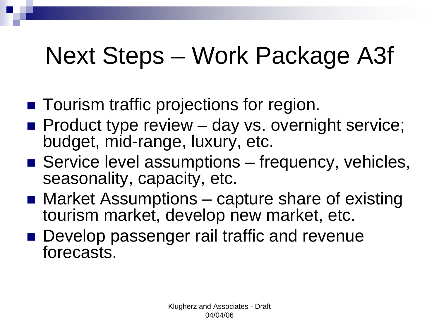## Next Steps – Work Package A3f

- Tourism traffic projections for region.
- $\blacksquare$  Product type review  $-$  day vs. overnight service; budget, mid-range, luxury, etc.
- Service level assumptions frequency, vehicles, seasonality, capacity, etc.
- Market Assumptions capture share of existing tourism market, develop new market, etc.
- Develop passenger rail traffic and revenue forecasts.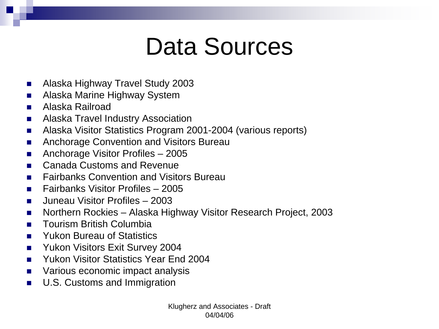### Data Sources

- Alaska Highway Travel Study 2003
- Alaska Marine Highway System
- Alaska Railroad
- **Alaska Travel Industry Association**
- Alaska Visitor Statistics Program 2001-2004 (various reports)
- Anchorage Convention and Visitors Bureau
- Anchorage Visitor Profiles 2005
- Canada Customs and Revenue
- Fairbanks Convention and Visitors Bureau
- **Fairbanks Visitor Profiles 2005**
- Juneau Visitor Profiles 2003
- Northern Rockies Alaska Highway Visitor Research Project, 2003
- Tourism British Columbia
- Yukon Bureau of Statistics
- **No. 2004** Yukon Visitors Exit Survey 2004
- **Nukon Visitor Statistics Year End 2004**
- Various economic impact analysis
- **U.S. Customs and Immigration**